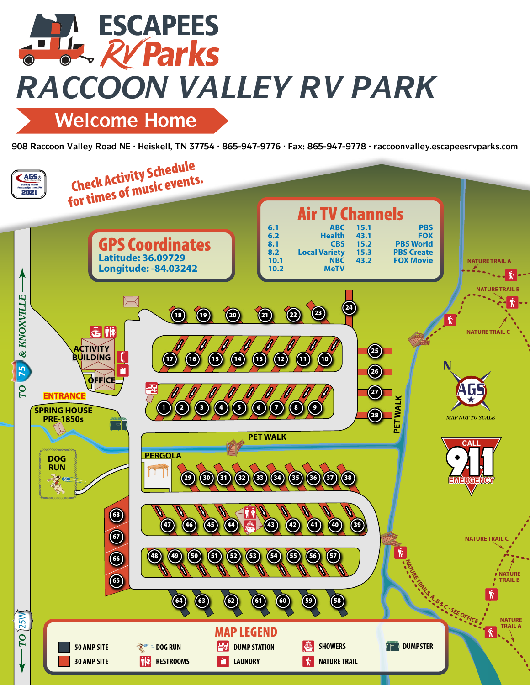## **ESCAPEES THE RV Parks** *RACCOON VALLEY RV PARK*

**Welcome Home**

**908 Raccoon Valley Road NE • Heiskell, TN 37754 • 865-947-9776 • Fax: 865-947-9778 • raccoonvalley.escapeesrvparks.com**